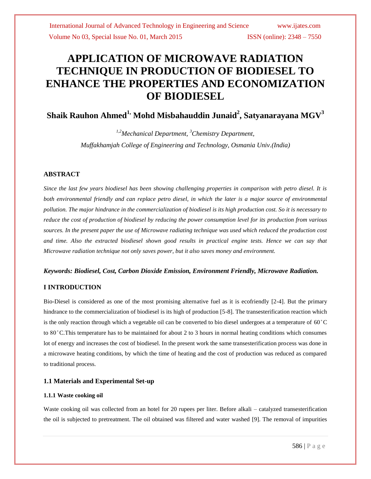# **APPLICATION OF MICROWAVE RADIATION TECHNIQUE IN PRODUCTION OF BIODIESEL TO ENHANCE THE PROPERTIES AND ECONOMIZATION OF BIODIESEL**

**Shaik Rauhon Ahmed1, Mohd Misbahauddin Junaid<sup>2</sup> , Satyanarayana MGV<sup>3</sup>**

*1,2Mechanical Department, <sup>3</sup>Chemistry Department, Muffakhamjah College of Engineering and Technology, Osmania Univ.(India)*

# **ABSTRACT**

*Since the last few years biodiesel has been showing challenging properties in comparison with petro diesel. It is both environmental friendly and can replace petro diesel, in which the later is a major source of environmental pollution. The major hindrance in the commercialization of biodiesel is its high production cost. So it is necessary to reduce the cost of production of biodiesel by reducing the power consumption level for its production from various sources. In the present paper the use of Microwave radiating technique was used which reduced the production cost and time. Also the extracted biodiesel shown good results in practical engine tests. Hence we can say that Microwave radiation technique not only saves power, but it also saves money and environment.*

### *Keywords: Biodiesel, Cost, Carbon Dioxide Emission, Environment Friendly, Microwave Radiation.*

### **I INTRODUCTION**

Bio-Diesel is considered as one of the most promising alternative fuel as it is ecofriendly [2-4]. But the primary hindrance to the commercialization of biodiesel is its high of production [5-8]. The transesterification reaction which is the only reaction through which a vegetable oil can be converted to bio diesel undergoes at a temperature of  $60^{\circ}$ C to 80 ̊C.This temperature has to be maintained for about 2 to 3 hours in normal heating conditions which consumes lot of energy and increases the cost of biodiesel. In the present work the same transesterification process was done in a microwave heating conditions, by which the time of heating and the cost of production was reduced as compared to traditional process.

### **1.1 Materials and Experimental Set-up**

### **1.1.1 Waste cooking oil**

Waste cooking oil was collected from an hotel for 20 rupees per liter. Before alkali – catalyzed transesterification the oil is subjected to pretreatment. The oil obtained was filtered and water washed [9]. The removal of impurities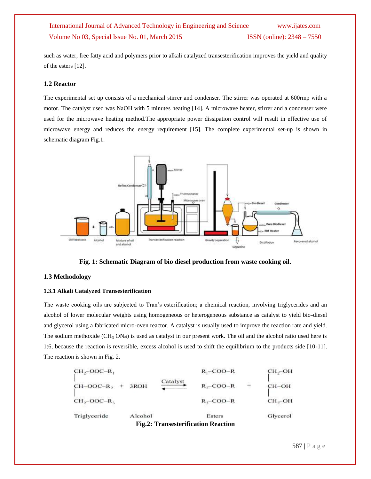such as water, free fatty acid and polymers prior to alkali catalyzed transesterification improves the yield and quality of the esters [12].

# **1.2 Reactor**

The experimental set up consists of a mechanical stirrer and condenser. The stirrer was operated at 600rmp with a motor. The catalyst used was NaOH with 5 minutes heating [14]. A microwave heater, stirrer and a condenser were used for the microwave heating method.The appropriate power dissipation control will result in effective use of microwave energy and reduces the energy requirement [15]. The complete experimental set-up is shown in schematic diagram Fig.1.



**Fig. 1: Schematic Diagram of bio diesel production from waste cooking oil.**

#### **1.3 Methodology**

#### **1.3.1 Alkali Catalyzed Transesterification**

The waste cooking oils are subjected to Tran's esterification; a chemical reaction, involving triglycerides and an alcohol of lower molecular weights using homogeneous or heterogeneous substance as catalyst to yield bio-diesel and glycerol using a fabricated micro-oven reactor. A catalyst is usually used to improve the reaction rate and yield. The sodium methoxide ( $CH_3$  ONa) is used as catalyst in our present work. The oil and the alcohol ratio used here is 1:6, because the reaction is reversible, excess alcohol is used to shift the equilibrium to the products side [10-11]. The reaction is shown in Fig. 2.

| <b>Fig.2: Transesterification Reaction</b> |         |          |              |  |                    |  |  |  |  |
|--------------------------------------------|---------|----------|--------------|--|--------------------|--|--|--|--|
| Triglyceride                               | Alcohol |          | Esters       |  | Glycerol           |  |  |  |  |
| $CH_2-OOC-R_3$                             |         |          | $R_1$ –COO–R |  | CH <sub>2</sub> OH |  |  |  |  |
| $CH-OOC-R$ ,                               | 3ROH    | Catalyst | $R, -COO-R$  |  | $CH-OH$            |  |  |  |  |
| $CH_2-OOC-R_1$                             |         |          | $R_1$ –COO–R |  | $CH2$ -OH          |  |  |  |  |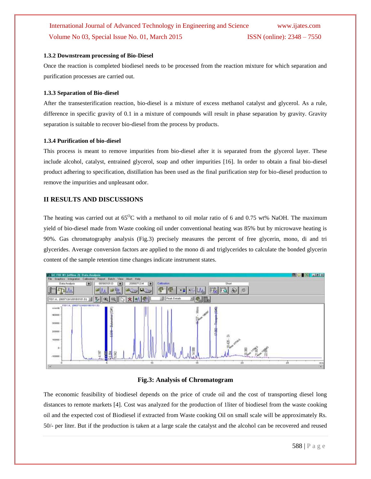### **1.3.2 Downstream processing of Bio-Diesel**

Once the reaction is completed biodiesel needs to be processed from the reaction mixture for which separation and purification processes are carried out.

# **1.3.3 Separation of Bio-diesel**

After the transesterification reaction, bio-diesel is a mixture of excess methanol catalyst and glycerol. As a rule, difference in specific gravity of 0.1 in a mixture of compounds will result in phase separation by gravity. Gravity separation is suitable to recover bio-diesel from the process by products.

### **1.3.4 Purification of bio-diesel**

This process is meant to remove impurities from bio-diesel after it is separated from the glycerol layer. These include alcohol, catalyst, entrained glycerol, soap and other impurities [16]. In order to obtain a final bio-diesel product adhering to specification, distillation has been used as the final purification step for bio-diesel production to remove the impurities and unpleasant odor.

# **II RESULTS AND DISCUSSIONS**

The heating was carried out at  $65^{\circ}$ C with a methanol to oil molar ratio of 6 and 0.75 wt% NaOH. The maximum yield of bio-diesel made from Waste cooking oil under conventional heating was 85% but by microwave heating is 90%. Gas chromatography analysis (Fig.3) precisely measures the percent of free glycerin, mono, di and tri glycerides. Average conversion factors are applied to the mono di and triglycerides to calculate the bonded glycerin content of the sample retention time changes indicate instrument states.



# **Fig.3: Analysis of Chromatogram**

The economic feasibility of biodiesel depends on the price of crude oil and the cost of transporting diesel long distances to remote markets [4]. Cost was analyzed for the production of 1liter of biodiesel from the waste cooking oil and the expected cost of Biodiesel if extracted from Waste cooking Oil on small scale will be approximately Rs. 50/- per liter. But if the production is taken at a large scale the catalyst and the alcohol can be recovered and reused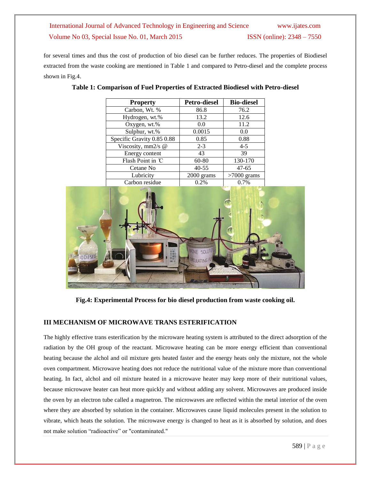for several times and thus the cost of production of bio diesel can be further reduces. The properties of Biodiesel extracted from the waste cooking are mentioned in Table 1 and compared to Petro-diesel and the complete process shown in Fig.4.

| <b>Property</b>            | <b>Petro-diesel</b> | <b>Bio-diesel</b> |  |
|----------------------------|---------------------|-------------------|--|
| Carbon, Wt. %              | 86.8                | 76.2              |  |
| Hydrogen, wt.%             | 13.2                | 12.6              |  |
| Oxygen, wt.%               | 0.0                 | 11.2              |  |
| Sulphur, wt.%              | 0.0015              | 0.0               |  |
| Specific Gravity 0.85 0.88 | 0.85                | 0.88              |  |
| Viscosity, mm2/s @         | $2 - 3$             | $4 - 5$           |  |
| Energy content             | 43                  | 39                |  |
| Flash Point in °C          | $60 - 80$           | 130-170           |  |
| Cetane No                  | $40 - 55$           | $47 - 65$         |  |
| Lubricity                  | 2000 grams          | $>7000$ grams     |  |
| Carbon residue             | 0.2%                | 0.7%              |  |

|  |  | Table 1: Comparison of Fuel Properties of Extracted Biodiesel with Petro-diesel |
|--|--|---------------------------------------------------------------------------------|
|  |  |                                                                                 |



**Fig.4: Experimental Process for bio diesel production from waste cooking oil.**

# **III MECHANISM OF MICROWAVE TRANS ESTERIFICATION**

The highly effective trans esterification by the microware heating system is attributed to the direct adsorption of the radiation by the OH group of the reactant. Microwave heating can be more energy efficient than conventional heating because the alchol and oil mixture gets heated faster and the energy heats only the mixture, not the whole oven compartment. Microwave heating does not reduce the nutritional value of the mixture more than conventional heating. In fact, alchol and oil mixture heated in a microwave heater may keep more of their nutritional values, because microwave heater can heat more quickly and without adding any solvent. Microwaves are produced inside the oven by an electron tube called a magnetron. The microwaves are reflected within the metal interior of the oven where they are absorbed by solution in the container. Microwaves cause liquid molecules present in the solution to vibrate, which heats the solution. The microwave energy is changed to heat as it is absorbed by solution, and does not make solution "radioactive" or "contaminated."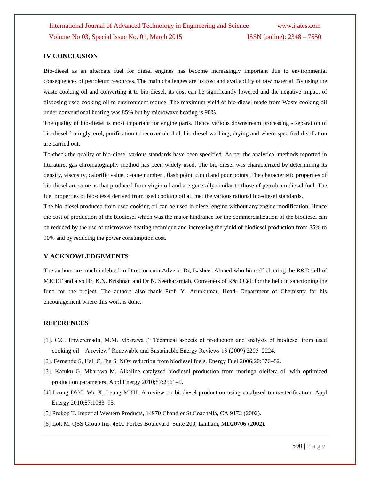# **IV CONCLUSION**

Bio-diesel as an alternate fuel for diesel engines has become increasingly important due to environmental consequences of petroleum resources. The main challenges are its cost and availability of raw material. By using the waste cooking oil and converting it to bio-diesel, its cost can be significantly lowered and the negative impact of disposing used cooking oil to environment reduce. The maximum yield of bio-diesel made from Waste cooking oil under conventional heating was 85% but by microwave heating is 90%.

The quality of bio-diesel is most important for engine parts. Hence various downstream processing - separation of bio-diesel from glycerol, purification to recover alcohol, bio-diesel washing, drying and where specified distillation are carried out.

To check the quality of bio-diesel various standards have been specified. As per the analytical methods reported in literature, gas chromatography method has been widely used. The bio-diesel was characterized by determining its density, viscosity, calorific value, cetane number , flash point, cloud and pour points. The characteristic properties of bio-diesel are same as that produced from virgin oil and are generally similar to those of petroleum diesel fuel. The fuel properties of bio-diesel derived from used cooking oil all met the various rational bio-diesel standards.

The bio-diesel produced from used cooking oil can be used in diesel engine without any engine modification. Hence the cost of production of the biodiesel which was the major hindrance for the commercialization of the biodiesel can be reduced by the use of microwave heating technique and increasing the yield of biodiesel production from 85% to 90% and by reducing the power consumption cost.

# **V ACKNOWLEDGEMENTS**

The authors are much indebted to Director cum Advisor Dr, Basheer Ahmed who himself chairing the R&D cell of MJCET and also Dr. K.N. Krishnan and Dr N. Seetharamiah, Conveners of R&D Cell for the help in sanctioning the fund for the project. The authors also thank Prof. Y. Arunkumar, Head, Department of Chemistry for his encouragement where this work is done.

### **REFERENCES**

- [1]. C.C. Enweremadu, M.M. Mbarawa ," Technical aspects of production and analysis of biodiesel from used cooking oil—A review" Renewable and Sustainable Energy Reviews 13 (2009) 2205–2224.
- [2]. Fernando S, Hall C, Jha S. NOx reduction from biodiesel fuels. Energy Fuel 2006;20:376–82.
- [3]. Kafuku G, Mbarawa M. Alkaline catalyzed biodiesel production from moringa oleifera oil with optimized production parameters. Appl Energy 2010;87:2561–5.
- [4] Leung DYC, Wu X, Leung MKH. A review on biodiesel production using catalyzed transesterification. Appl Energy 2010;87:1083–95.
- [5] Prokop T. Imperial Western Products, 14970 Chandler St.Coachella, CA 9172 (2002).
- [6] Lott M. QSS Group Inc. 4500 Forbes Boulevard, Suite 200, Lanham, MD20706 (2002).